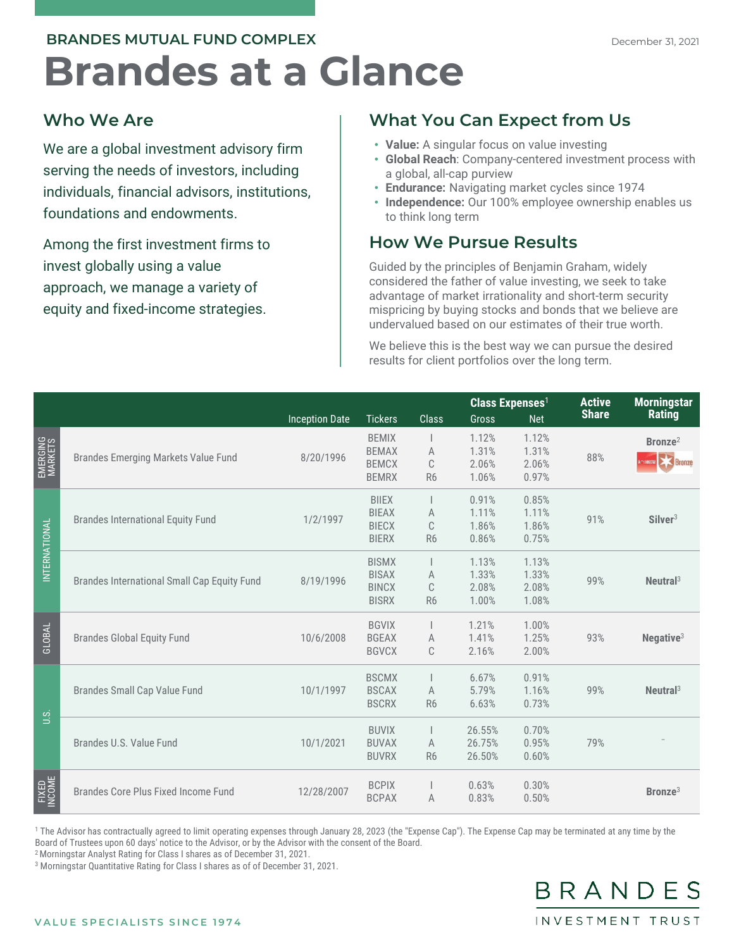## **Brandes at a Glance BRANDES MUTUAL FUND COMPLEX**

## **Who We Are**

We are a global investment advisory firm serving the needs of investors, including individuals, financial advisors, institutions, foundations and endowments.

Among the first investment firms to invest globally using a value approach, we manage a variety of equity and fixed-income strategies.

## **What You Can Expect from Us**

- **Value:** A singular focus on value investing
- **Global Reach**: Company-centered investment process with a global, all-cap purview
- **Endurance:** Navigating market cycles since 1974
- **Independence:** Our 100% employee ownership enables us to think long term

## **How We Pursue Results**

Guided by the principles of Benjamin Graham, widely considered the father of value investing, we seek to take advantage of market irrationality and short-term security mispricing by buying stocks and bonds that we believe are undervalued based on our estimates of their true worth.

We believe this is the best way we can pursue the desired results for client portfolios over the long term.

|                     |                                             |                       |                |                | <b>Class Expenses<sup>1</sup></b> |            | <b>Active</b><br><b>Share</b> | <b>Morningstar</b><br><b>Rating</b> |
|---------------------|---------------------------------------------|-----------------------|----------------|----------------|-----------------------------------|------------|-------------------------------|-------------------------------------|
|                     |                                             | <b>Inception Date</b> | <b>Tickers</b> | <b>Class</b>   | <b>Gross</b>                      | <b>Net</b> |                               |                                     |
| EMERGING<br>MARKETS | <b>Brandes Emerging Markets Value Fund</b>  | 8/20/1996             | <b>BEMIX</b>   |                | 1.12%                             | 1.12%      | 88%                           | Bronze <sup>2</sup>                 |
|                     |                                             |                       | <b>BEMAX</b>   | A              | 1.31%                             | 1.31%      |                               |                                     |
|                     |                                             |                       | <b>BEMCX</b>   | C              | 2.06%                             | 2.06%      |                               | <b>Experience</b>                   |
|                     |                                             |                       | <b>BEMRX</b>   | R <sub>6</sub> | 1.06%                             | 0.97%      |                               |                                     |
| INTERNATIONAL       | <b>Brandes International Equity Fund</b>    | 1/2/1997              | <b>BIIEX</b>   |                | 0.91%                             | 0.85%      | 91%                           |                                     |
|                     |                                             |                       | <b>BIEAX</b>   | A              | 1.11%                             | 1.11%      |                               |                                     |
|                     |                                             |                       | <b>BIECX</b>   | C              | 1.86%                             | 1.86%      |                               | Silver <sup>3</sup>                 |
|                     |                                             |                       | <b>BIERX</b>   | R <sub>6</sub> | 0.86%                             | 0.75%      |                               |                                     |
|                     | Brandes International Small Cap Equity Fund | 8/19/1996             | <b>BISMX</b>   |                | 1.13%                             | 1.13%      | 99%                           |                                     |
|                     |                                             |                       | <b>BISAX</b>   | A              | 1.33%                             | 1.33%      |                               |                                     |
|                     |                                             |                       | <b>BINCX</b>   | C              | 2.08%                             | 2.08%      |                               | Neutral <sup>3</sup>                |
|                     |                                             |                       | <b>BISRX</b>   | R <sub>6</sub> | 1.00%                             | 1.08%      |                               |                                     |
| GLOBAL              | <b>Brandes Global Equity Fund</b>           | 10/6/2008             | <b>BGVIX</b>   |                | 1.21%                             | 1.00%      | 93%                           |                                     |
|                     |                                             |                       | <b>BGEAX</b>   | A              | 1.41%                             | 1.25%      |                               | Negative <sup>3</sup>               |
|                     |                                             |                       | <b>BGVCX</b>   | C              | 2.16%                             | 2.00%      |                               |                                     |
| U.S.                | <b>Brandes Small Cap Value Fund</b>         | 10/1/1997             | <b>BSCMX</b>   |                | 6.67%                             | 0.91%      | 99%                           |                                     |
|                     |                                             |                       | <b>BSCAX</b>   | A              | 5.79%                             | 1.16%      |                               | Neutral <sup>3</sup>                |
|                     |                                             |                       | <b>BSCRX</b>   | R <sub>6</sub> | 6.63%                             | 0.73%      |                               |                                     |
|                     |                                             |                       |                |                |                                   |            |                               |                                     |
|                     | Brandes U.S. Value Fund                     | 10/1/2021             | <b>BUVIX</b>   |                | 26.55%                            | 0.70%      |                               |                                     |
|                     |                                             |                       | <b>BUVAX</b>   | A              | 26.75%                            | 0.95%      | 79%                           |                                     |
|                     |                                             |                       | <b>BUVRX</b>   | R <sub>6</sub> | 26.50%                            | 0.60%      |                               |                                     |
| FIXED<br>INCOME     | Brandes Core Plus Fixed Income Fund         | 12/28/2007            | <b>BCPIX</b>   |                | 0.63%                             | 0.30%      |                               |                                     |
|                     |                                             |                       | <b>BCPAX</b>   | A              | 0.83%                             | 0.50%      |                               | Bronze <sup>3</sup>                 |
|                     |                                             |                       |                |                |                                   |            |                               |                                     |

<sup>1</sup> The Advisor has contractually agreed to limit operating expenses through January 28, 2023 (the "Expense Cap"). The Expense Cap may be terminated at any time by the Board of Trustees upon 60 days' notice to the Advisor, or by the Advisor with the consent of the Board.

2 Morningstar Analyst Rating for Class I shares as of December 31, 2021.

<sup>3</sup> Morningstar Quantitative Rating for Class I shares as of of December 31, 2021.